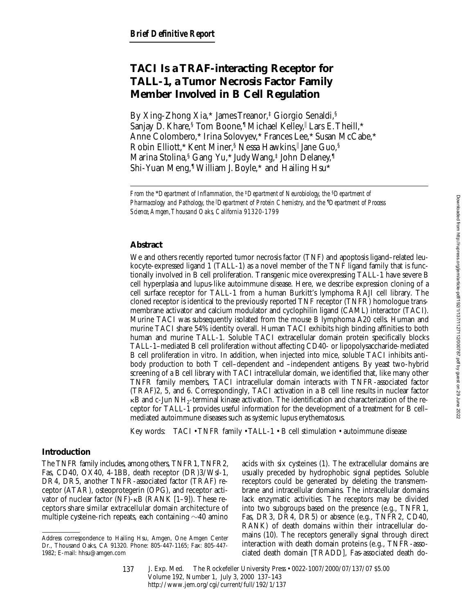# **TACI Is a TRAF-interacting Receptor for TALL-1, a Tumor Necrosis Factor Family Member Involved in B Cell Regulation**

By Xing-Zhong Xia,\* James Treanor,‡ Giorgio Senaldi,§ Sanjay D. Khare,<sup>§</sup> Tom Boone,<sup>1</sup> Michael Kelley,<sup>|</sup> Lars E. Theill, \* Anne Colombero,\* Irina Solovyev,\* Frances Lee,\* Susan McCabe,\* Robin Elliott,\* Kent Miner,§ Nessa Hawkins, Jane Guo,§ Marina Stolina,§ Gang Yu,\* Judy Wang,‡ John Delaney,¶ Shi-Yuan Meng,<sup>1</sup> William J. Boyle,\* and Hailing Hsu\*

## **Abstract**

We and others recently reported tumor necrosis factor (TNF) and apoptosis ligand–related leukocyte-expressed ligand 1 (TALL-1) as a novel member of the TNF ligand family that is functionally involved in B cell proliferation. Transgenic mice overexpressing TALL-1 have severe B cell hyperplasia and lupus-like autoimmune disease. Here, we describe expression cloning of a cell surface receptor for TALL-1 from a human Burkitt's lymphoma RAJI cell library. The cloned receptor is identical to the previously reported TNF receptor (TNFR) homologue transmembrane activator and calcium modulator and cyclophilin ligand (CAML) interactor (TACI). Murine TACI was subsequently isolated from the mouse B lymphoma A20 cells. Human and murine TACI share 54% identity overall. Human TACI exhibits high binding affinities to both human and murine TALL-1. Soluble TACI extracellular domain protein specifically blocks TALL-1–mediated B cell proliferation without affecting CD40- or lipopolysaccharide-mediated B cell proliferation in vitro. In addition, when injected into mice, soluble TACI inhibits antibody production to both T cell–dependent and –independent antigens. By yeast two-hybrid screening of a B cell library with TACI intracellular domain, we identified that, like many other TNFR family members, TACI intracellular domain interacts with TNFR-associated factor (TRAF)2, 5, and 6. Correspondingly, TACI activation in a B cell line results in nuclear factor  $\kappa$ B and c-Jun NH<sub>2</sub>-terminal kinase activation. The identification and characterization of the receptor for TALL-1 provides useful information for the development of a treatment for B cell– mediated autoimmune diseases such as systemic lupus erythematosus.

Key words: TACI • TNFR family • TALL-1 • B cell stimulation • autoimmune disease

## **Introduction**

The TNFR family includes, among others, TNFR1, TNFR2, Fas, CD40, OX40, 4-1BB, death receptor (DR)3/Wsl-1, DR4, DR5, another TNFR-associated factor (TRAF) receptor (ATAR), osteoprotegerin (OPG), and receptor activator of nuclear factor (NF)- $\kappa$ B (RANK [1–9]). These receptors share similar extracellular domain architecture of multiple cysteine-rich repeats, each containing  $\sim$ 40 amino

acids with six cysteines (1). The extracellular domains are usually preceded by hydrophobic signal peptides. Soluble receptors could be generated by deleting the transmembrane and intracellular domains. The intracellular domains lack enzymatic activities. The receptors may be divided into two subgroups based on the presence (e.g., TNFR1, Fas, DR3, DR4, DR5) or absence (e.g., TNFR2, CD40, RANK) of death domains within their intracellular domains (10). The receptors generally signal through direct interaction with death domain proteins (e.g., TNFR-associated death domain [TRADD], Fas-associated death do-

*From the* \**Department of Inflammation, the* ‡*Departmentof Neurobiology, the* §*Department of Pharmacology and Pathology, the* <sup>i</sup> *Department of Protein Chemistry, and the* ¶ *Department of Process Science, Amgen, Thousand Oaks, California 91320-1799*

Address correspondence to Hailing Hsu, Amgen, One Amgen Center Dr., Thousand Oaks, CA 91320. Phone: 805-447-1165; Fax: 805-447- 1982; E-mail: hhsu@amgen.com

J. Exp. Med. The Rockefeller University Press • 0022-1007/2000/07/137/07 \$5.00 Volume 192, Number 1, July 3, 2000 137–143 http://www.jem.org/cgi/current/full/192/1/137 137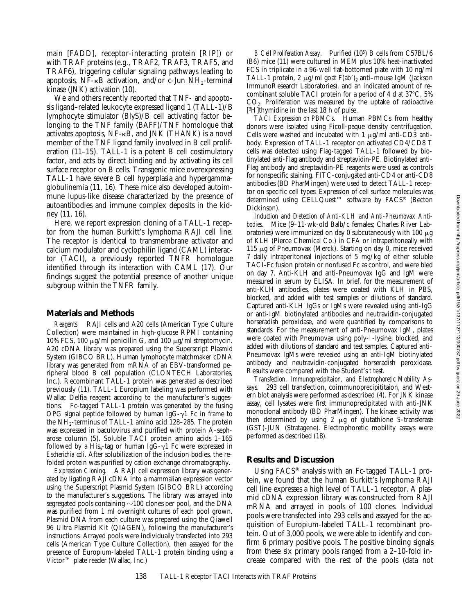main [FADD], receptor-interacting protein [RIP]) or with TRAF proteins (e.g., TRAF2, TRAF3, TRAF5, and TRAF6), triggering cellular signaling pathways leading to apoptosis,  $N\bar{F}$ - $\kappa B$  activation, and/or c-Jun  $NH_2$ -terminal kinase (JNK) activation (10).

We and others recently reported that TNF- and apoptosis ligand–related leukocyte expressed ligand 1 (TALL-1)/B lymphocyte stimulator (BlyS)/B cell activating factor belonging to the TNF family (BAFF)/TNF homologue that activates apoptosis,  $NF-\kappa B$ , and JNK (THANK) is a novel member of the TNF ligand family involved in B cell proliferation (11–15). TALL-1 is a potent B cell costimulatory factor, and acts by direct binding and by activating its cell surface receptor on B cells. Transgenic mice overexpressing TALL-1 have severe B cell hyperplasia and hypergammaglobulinemia (11, 16). These mice also developed autoimmune lupus-like disease characterized by the presence of autoantibodies and immune complex deposits in the kidney (11, 16).

Here, we report expression cloning of a TALL-1 receptor from the human Burkitt's lymphoma RAJI cell line. The receptor is identical to transmembrane activator and calcium modulator and cyclophilin ligand (CAML) interactor (TACI), a previously reported TNFR homologue identified through its interaction with CAML (17). Our findings suggest the potential presence of another unique subgroup within the TNFR family.

#### **Materials and Methods**

*Reagents.* RAJI cells and A20 cells (American Type Culture Collection) were maintained in high-glucose RPMI containing 10% FCS, 100  $\mu$ g/ml penicillin G, and 100  $\mu$ g/ml streptomycin. A20 cDNA library was prepared using the Superscript Plasmid System (GIBCO BRL). Human lymphocyte matchmaker cDNA library was generated from mRNA of an EBV-transformed peripheral blood B cell population (CLONTECH Laboratories, Inc.). Recombinant TALL-1 protein was generated as described previously (11). TALL-1 Europium labeling was performed with Wallac Delfia reagent according to the manufacturer's suggestions. Fc-tagged TALL-1 protein was generated by the fusing OPG signal peptide followed by human IgG- $\gamma$ 1 Fc in frame to the  $NH_2$ -terminus of TALL-1 amino acid 128–285. The protein was expressed in baculovirus and purified with protein A–sepharose column (5). Soluble TACI protein amino acids 1–165 followed by a His<sub>6</sub>-tag or human IgG- $\gamma$ 1 Fc were expressed in *Escherichia coli*. After solubilization of the inclusion bodies, the refolded protein was purified by cation exchange chromatography.

*Expression Cloning.* A RAJI cell expression library was generated by ligating RAJI cDNA into a mammalian expression vector using the Superscript Plasmid System (GIBCO BRL) according to the manufacturer's suggestions. The library was arrayed into segregated pools containing  $\sim$ 100 clones per pool, and the DNA was purified from 1 ml overnight cultures of each pool grown. Plasmid DNA from each culture was prepared using the Qiawell 96 Ultra Plasmid Kit (QIAGEN), following the manufacturer's instructions. Arrayed pools were individually transfected into 293 cells (American Type Culture Collection), then assayed for the presence of Europium-labeled TALL-1 protein binding using a Victor™ plate reader (Wallac, Inc.)

*B Cell Proliferation Assay.* Purified (105) B cells from C57BL/6 (B6) mice (11) were cultured in MEM plus 10% heat-inactivated FCS in triplicate in a 96-well flat-bottomed plate with 10 ng/ml TALL-1 protein, 2  $\mu$ g/ml goat F(ab')<sub>2</sub> anti–mouse IgM (Jackson ImmunoResearch Laboratories), and an indicated amount of recombinant soluble TACI protein for a period of 4 d at  $37^{\circ}$ C, 5% CO2. Proliferation was measured by the uptake of radioactive [3H]thymidine in the last 18 h of pulse.

*TACI Expression on PBMCs.* Human PBMCs from healthy donors were isolated using Ficoll-paque density centrifugation. Cells were washed and incubated with  $1 \mu g/ml$  anti-CD3 antibody. Expression of TALL-1 receptor on activated CD4/CD8 T cells was detected using Flag-tagged TALL-1 followed by biotinylated anti-Flag antibody and streptavidin-PE. Biotinylated anti-Flag antibody and streptavidin-PE reagents were used as controls for nonspecific staining. FITC-conjugated anti-CD4 or anti-CD8 antibodies (BD PharMingen) were used to detect TALL-1 receptor on specific cell types. Expression of cell surface molecules was determined using CELLQuest™ software by FACS® (Becton Dickinson).

*Induction and Detection of Anti-KLH and Anti-Pneumovax Antibodies.* Mice (9–11-wk-old Balb/c females; Charles River Laboratories) were immunized on day 0 subcutaneously with 100  $\mu$ g of KLH (Pierce Chemical Co.) in CFA or intraperitoneally with 115 mg of Pneumovax (Merck). Starting on day 0, mice received 7 daily intraperitoneal injections of 5 mg/kg of either soluble TACI-Fc fusion protein or nonfused Fc as control, and were bled on day 7. Anti-KLH and anti-Pneumovax IgG and IgM were measured in serum by ELISA. In brief, for the measurement of anti-KLH antibodies, plates were coated with KLH in PBS, blocked, and added with test samples or dilutions of standard. Captured anti-KLH IgGs or IgMs were revealed using anti-IgG or anti-IgM biotinylated antibodies and neutravidin-conjugated horseradish peroxidase, and were quantified by comparisons to standards. For the measurement of anti-Pneumovax IgM, plates were coated with Pneumovax using poly-l-lysine, blocked, and added with dilutions of standard and test samples. Captured anti-Pneumovax IgMs were revealed using an anti-IgM biotinylated antibody and neutravidin-conjugated horseradish peroxidase. Results were compared with the Student's *t* test.

*Transfection, Immunoprecipitaion, and Electrophoretic Mobility Assays.* 293 cell transfection, coimmunoprecipititaion, and Western blot analysis were performed as described (4). For JNK kinase assay, cell lysates were first immunoprecipitated with anti-JNK monoclonal antibody (BD PharMingen). The kinase activity was then determined by using 2 mg of glutathione *S*-transferase (GST)-JUN (Stratagene). Electrophoretic mobility assays were performed as described (18).

#### **Results and Discussion**

Using FACS® analysis with an Fc-tagged TALL-1 protein, we found that the human Burkitt's lymphoma RAJI cell line expresses a high level of TALL-1 receptor. A plasmid cDNA expression library was constructed from RAJI mRNA and arrayed in pools of 100 clones. Individual pools were transfected into 293 cells and assayed for the acquisition of Europium-labeled TALL-1 recombinant protein. Out of 3,000 pools, we were able to identify and confirm 6 primary positive pools. The positive binding signals from these six primary pools ranged from a 2–10-fold increase compared with the rest of the pools (data not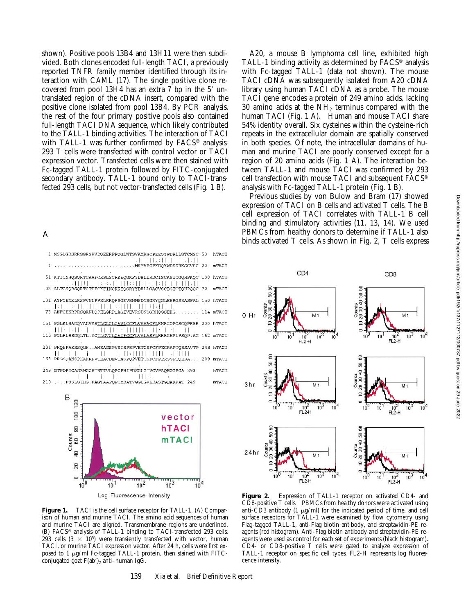shown). Positive pools 13B4 and 13H11 were then subdivided. Both clones encoded full-length TACI, a previously reported TNFR family member identified through its interaction with CAML (17). The single positive clone recovered from pool  $13H4$  has an extra 7 bp in the 5' untranslated region of the cDNA insert, compared with the positive clone isolated from pool 13B4. By PCR analysis, the rest of the four primary positive pools also contained full-length TACI DNA sequence, which likely contributed to the TALL-1 binding activities. The interaction of TACI with TALL-1 was further confirmed by FACS<sup>®</sup> analysis. 293 T cells were transfected with control vector or TACI expression vector. Transfected cells were then stained with Fc-tagged TALL-1 protein followed by FITC-conjugated secondary antibody. TALL-1 bound only to TACI-transfected 293 cells, but not vector-transfected cells (Fig. 1 B).

A

| 1 MSGLGRSRRGGRSRVDQEERFPQGLWTGVAMRSCPEEQYWDPLLGTCMSC 50                                                                             | <b>hTACI</b> |
|-------------------------------------------------------------------------------------------------------------------------------------|--------------|
|                                                                                                                                     | mTACI        |
| 51 KTICNHQSQRTCAAFCRSLSCRKEQGKFYDHLLRDCISCASICGQHPKQC 100 hTACI                                                                     |              |
| 23 ALTCSQRSQRTCTDFCKFINCRKEQGRYYDHLLGACVSCDSTCTQHPQQC 72                                                                            | mTACI        |
| 101 AYFCENKLRSPVNLPPELRRORSGEVENNSDNSGRYOGLEHRGSEASPAL 150 hTACI                                                                    |              |
| 73 AHFCEKRPRSQANLQPELGRPQAGEVEVRSDNSGRHQGSEHG 114 mTACI                                                                             |              |
| 151 PGLKLSADQVALVYSTLGLCLCAVLCCFLVAVACFLKMRGDPCSCQPRSR 200 hTACI                                                                    |              |
| 115 PGLRLSSDQLTL.YCTLGVCLCAIFCCFLVALASFLRRRGEPLPSQP.AG 162 mTACI                                                                    |              |
| 201 PROSPAKSSODHAMEAGSPVSTSPEPVETCSFCFPECRAPTOESAVTP 248 hTACI                                                                      |              |
| $\begin{bmatrix} 1 & 1 & 1 \\ 1 & 1 & 1 \end{bmatrix}$<br>. 111111<br>163 PRGSQANSPHAHRPVTEACDEVTASPQPVETCSFCFPERSSPTQESA 209 mTACI |              |
| 249 GTPDPTCAGRWGCHTRTTVLQPCPHIPDSGLGIVCVPAQEGGPGA 293                                                                               | hTACI        |
| $\mathbf{I}$ is the set of $\mathbf{I}$<br>111:<br>210 , PRSLGIHG. FAGTAAPOPCMRATVGGLGVLRASTGDARPAT 249                             | mTACT        |
|                                                                                                                                     |              |



Figure 1. TACI is the cell surface receptor for TALL-1. (A) Comparison of human and murine TACI. The amino acid sequences of human and murine TACI are aligned. Transmembrane regions are underlined. (B) FACS® analysis of TALL-1 binding to TACI-transfected 293 cells. 293 cells  $(3 \times 10^5)$  were transiently transfected with vector, human TACI, or murine TACI expression vector. After 24 h, cells were first exposed to 1  $\mu$ g/ml Fc-tagged TALL-1 protein, then stained with FITCconjugated goat  $F(ab')$ <sub>2</sub> anti–human IgG.

TACI gene encodes a protein of 249 amino acids, lacking 30 amino acids at the  $NH<sub>2</sub>$  terminus compared with the human TACI (Fig. 1 A). Human and mouse TACI share 54% identity overall. Six cysteines within the cysteine-rich repeats in the extracellular domain are spatially conserved in both species. Of note, the intracellular domains of human and murine TACI are poorly conserved except for a region of 20 amino acids (Fig. 1 A). The interaction between TALL-1 and mouse TACI was confirmed by 293 cell transfection with mouse TACI and subsequent FACS® analysis with Fc-tagged TALL-1 protein (Fig. 1 B). Previous studies by von Bulow and Bram (17) showed expression of TACI on B cells and activated T cells. The B cell expression of TACI correlates with TALL-1 B cell binding and stimulatory activities (11, 13, 14). We used PBMCs from healthy donors to determine if TALL-1 also binds activated T cells. As shown in Fig. 2, T cells express

A20, a mouse B lymphoma cell line, exhibited high TALL-1 binding activity as determined by FACS® analysis with Fc-tagged TALL-1 (data not shown). The mouse TACI cDNA was subsequently isolated from A20 cDNA library using human TACI cDNA as a probe. The mouse



**Figure 2.** Expression of TALL-1 receptor on activated CD4- and CD8-positive T cells. PBMCs from healthy donors were activated using anti-CD3 antibody (1  $\mu$ g/ml) for the indicated period of time, and cell surface receptors for TALL-1 were examined by flow cytometry using Flag-tagged TALL-1, anti-Flag biotin antibody, and streptavidin-PE reagents (red histogram). Anti-Flag biotin antibody and streptavidin-PE reagents were used as control for each set of experiments (black histogram). CD4- or CD8-positive T cells were gated to analyze expression of TALL-1 receptor on specific cell types. FL2-H represents log fluorescence intensity.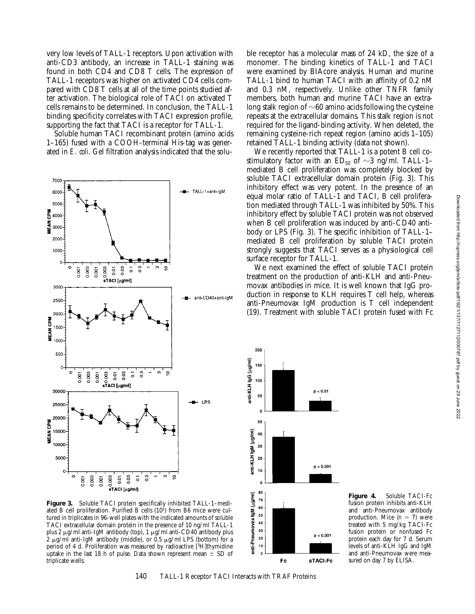very low levels of TALL-1 receptors. Upon activation with anti-CD3 antibody, an increase in TALL-1 staining was found in both CD4 and CD8 T cells. The expression of TALL-1 receptors was higher on activated CD4 cells compared with CD8 T cells at all of the time points studied after activation. The biological role of TACI on activated T cells remains to be determined. In conclusion, the TALL-1 binding specificity correlates with TACI expression profile, supporting the fact that TACI is a receptor for TALL-1.

Soluble human TACI recombinant protein (amino acids 1–165) fused with a COOH-terminal His-tag was generated in *E. coli*. Gel filtration analysis indicated that the solu-



**Figure 3.** Soluble TACI protein specifically inhibited TALL-1–mediated B cell proliferation. Purified B cells (105) from B6 mice were cultured in triplicates in 96-well plates with the indicated amounts of soluble TACI extracellular domain protein in the presence of 10 ng/ml TALL-1 plus 2  $\mu$ g/ml anti-IgM antibody (top), 1  $\mu$ g/ml anti-CD40 antibody plus 2  $\mu$ g/ml anti-IgM antibody (middle), or 0.5  $\mu$ g/ml LPS (bottom) for a period of 4 d. Proliferation was measured by radioactive [3H]thymidine uptake in the last 18 h of pulse. Data shown represent mean  $\pm$  SD of triplicate wells.

ble receptor has a molecular mass of 24 kD, the size of a monomer. The binding kinetics of TALL-1 and TACI were examined by BIAcore analysis. Human and murine TALL-1 bind to human TACI with an affinity of 0.2 nM and 0.3 nM, respectively. Unlike other TNFR family members, both human and murine TACI have an extralong stalk region of  $\sim 60$  amino acids following the cysteine repeats at the extracellular domains. This stalk region is not required for the ligand-binding activity. When deleted, the remaining cysteine-rich repeat region (amino acids 1–105) retained TALL-1 binding activity (data not shown).

We recently reported that TALL-1 is a potent B cell costimulatory factor with an  $ED_{50}$  of  $\sim$ 3 ng/ml. TALL-1– mediated B cell proliferation was completely blocked by soluble TACI extracellular domain protein (Fig. 3). This inhibitory effect was very potent. In the presence of an equal molar ratio of TALL-1 and TACI, B cell proliferation mediated through TALL-1 was inhibited by 50%. This inhibitory effect by soluble TACI protein was not observed when B cell proliferation was induced by anti-CD40 antibody or LPS (Fig. 3). The specific inhibition of TALL-1– mediated B cell proliferation by soluble TACI protein strongly suggests that TACI serves as a physiological cell surface receptor for TALL-1.

We next examined the effect of soluble TACI protein treatment on the production of anti-KLH and anti-Pneumovax antibodies in mice. It is well known that IgG production in response to KLH requires T cell help, whereas anti-Pneumovax IgM production is T cell independent (19). Treatment with soluble TACI protein fused with Fc



**Figure 4.** Soluble TACI-Fc fusion protein inhibits anti-KLH and anti-Pneumovax antibody production. Mice  $(n = 7)$  were treated with 5 mg/kg TACI-Fc fusion protein or nonfused Fc protein each day for 7 d. Serum levels of anti-KLH IgG and IgM and anti-Pneumovax were measured on day 7 by ELISA.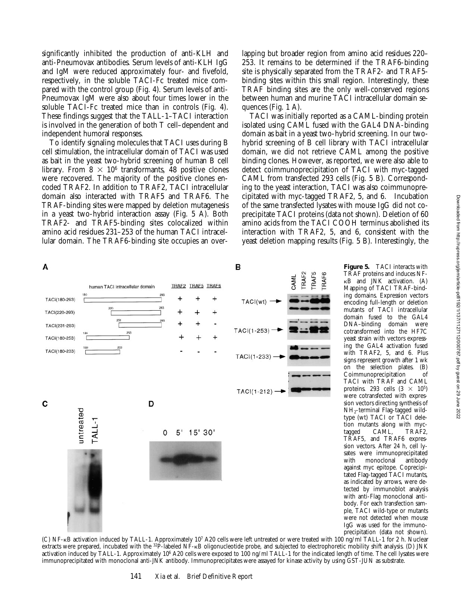significantly inhibited the production of anti-KLH and anti-Pneumovax antibodies. Serum levels of anti-KLH IgG and IgM were reduced approximately four- and fivefold, respectively, in the soluble TACI-Fc treated mice compared with the control group (Fig. 4). Serum levels of anti-Pneumovax IgM were also about four times lower in the soluble TACI-Fc treated mice than in controls (Fig. 4). These findings suggest that the TALL-1–TACI interaction is involved in the generation of both T cell–dependent and independent humoral responses.

To identify signaling molecules that TACI uses during B cell stimulation, the intracellular domain of TACI was used as bait in the yeast two-hybrid screening of human B cell library. From  $8 \times 10^6$  transformants, 48 positive clones were recovered. The majority of the positive clones encoded TRAF2. In addition to TRAF2, TACI intracellular domain also interacted with TRAF5 and TRAF6. The TRAF-binding sites were mapped by deletion mutagenesis in a yeast two-hybrid interaction assay (Fig. 5 A). Both TRAF2- and TRAF5-binding sites colocalized within amino acid residues 231–253 of the human TACI intracellular domain. The TRAF6-binding site occupies an overlapping but broader region from amino acid residues 220– 253. It remains to be determined if the TRAF6-binding site is physically separated from the TRAF2- and TRAF5 binding sites within this small region. Interestingly, these TRAF binding sites are the only well-conserved regions between human and murine TACI intracellular domain sequences (Fig. 1 A).

TACI was initially reported as a CAML-binding protein isolated using CAML fused with the GAL4 DNA-binding domain as bait in a yeast two-hybrid screening. In our twohybrid screening of B cell library with TACI intracellular domain, we did not retrieve CAML among the positive binding clones. However, as reported, we were also able to detect coimmunoprecipitation of TACI with myc-tagged CAML from transfected 293 cells (Fig. 5 B). Corresponding to the yeast interaction, TACI was also coimmunoprecipitated with myc-tagged TRAF2, 5, and 6. Incubation of the same transfected lysates with mouse IgG did not coprecipitate TACI proteins (data not shown). Deletion of 60 amino acids from the TACI COOH terminus abolished its interaction with TRAF2, 5, and 6, consistent with the yeast deletion mapping results (Fig. 5 B). Interestingly, the

> **Figure 5.** TACI interacts with TRAF proteins and induces NF- $\kappa$ B and JNK activation. (A) Mapping of TACI TRAF-binding domains. Expression vectors encoding full-length or deletion mutants of TACI intracellular domain fused to the GAL4<br>DNA-binding domain were

> cotransformed into the HF7C yeast strain with vectors expressing the GAL4 activation fused with TRAF2, 5, and 6. Plus signs represent growth after 1 wk on the selection plates. (B)<br>Coimmunoprecipitation of Coimmunoprecipitation TACI with TRAF and CAML proteins. 293 cells  $(3 \times 10^5)$ were cotransfected with expression vectors directing synthesis of NH2-terminal Flag-tagged wildtype (wt) TACI or TACI deletion mutants along with myc-<br>tagged CAML, TRAF2,

DNA-binding

tagged CAML,

TRAF5, and TRAF6 expression vectors. After 24 h, cell lysates were immunoprecipitated<br>with monoclonal antibody monoclonal <sup>1</sup> against myc epitope. Coprecipitated Flag-tagged TACI mutants, as indicated by arrows, were detected by immunoblot analysis with anti-Flag monoclonal antibody. For each transfection sample, TACI wild-type or mutants were not detected when mouse IgG was used for the immuno-





precipitation (data not shown). (C) NF-kB activation induced by TALL-1. Approximately 107 A20 cells were left untreated or were treated with 100 ng/ml TALL-1 for 2 h. Nuclear extracts were prepared, incubated with the <sup>32</sup>P-labeled NF-<sub>KB</sub> oligonucleotide probe, and subjected to electrophoretic mobility shift analysis. (D) JNK activation induced by TALL-1. Approximately 10<sup>6</sup> A20 cells were exposed to 100 ng/ml TALL-1 for the indicated length of time. The cell lysates were immunoprecipitated with monoclonal anti-JNK antibody. Immunoprecipitates were assayed for kinase activity by using GST-JUN as substrate.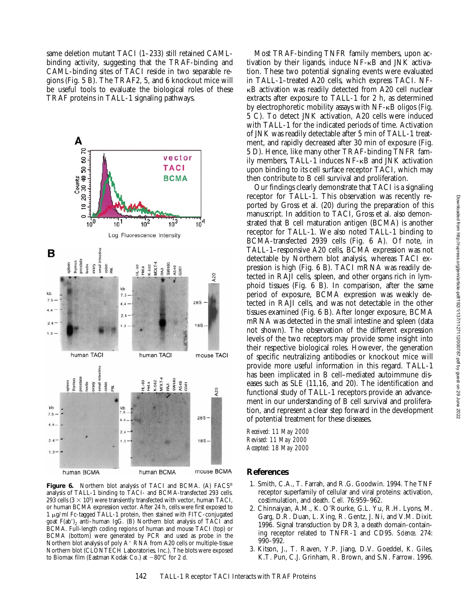same deletion mutant TACI (1–233) still retained CAMLbinding activity, suggesting that the TRAF-binding and CAML-binding sites of TACI reside in two separable regions (Fig. 5 B). The TRAF2, 5, and 6 knockout mice will be useful tools to evaluate the biological roles of these TRAF proteins in TALL-1 signaling pathways.



Figure 6. Northern blot analysis of TACI and BCMA. (A) FACS® analysis of TALL-1 binding to TACI- and BCMA-transfected 293 cells. 293 cells  $(3 \times 10^5)$  were transiently transfected with vector, human TACI, or human BCMA expression vector. After 24 h, cells were first exposed to 1 mg/ml Fc-tagged TALL-1 protein, then stained with FITC-conjugated goat  $F(ab')$ , anti-human IgG. (B) Northern blot analysis of TACI and BCMA. Full-length coding regions of human and mouse TACI (top) or BCMA (bottom) were generated by PCR and used as probe in the Northern blot analysis of poly  $A^+$  RNA from A20 cells or multiple-tissue Northern blot (CLONTECH Laboratories, Inc.). The blots were exposed to Biomax film (Eastman Kodak Co.) at  $-80^{\circ}$ C for 2 d.

Most TRAF-binding TNFR family members, upon activation by their ligands, induce NF-kB and JNK activation. These two potential signaling events were evaluated in TALL-1–treated A20 cells, which express TACI. NFkB activation was readily detected from A20 cell nuclear extracts after exposure to TALL-1 for 2 h, as determined by electrophoretic mobility assays with NF-kB oligos (Fig. 5 C). To detect JNK activation, A20 cells were induced with TALL-1 for the indicated periods of time. Activation of JNK was readily detectable after 5 min of TALL-1 treatment, and rapidly decreased after 30 min of exposure (Fig. 5 D). Hence, like many other TRAF-binding TNFR family members, TALL-1 induces NF-kB and JNK activation upon binding to its cell surface receptor TACI, which may then contribute to B cell survival and proliferation.

Our findings clearly demonstrate that TACI is a signaling receptor for TALL-1. This observation was recently reported by Gross et al. (20) during the preparation of this manuscript. In addition to TACI, Gross et al. also demonstrated that B cell maturation antigen (BCMA) is another receptor for TALL-1. We also noted TALL-1 binding to BCMA-transfected 2939 cells (Fig. 6 A). Of note, in TALL-1–responsive A20 cells, BCMA expression was not detectable by Northern blot analysis, whereas TACI expression is high (Fig. 6 B). TACI mRNA was readily detected in RAJI cells, spleen, and other organs rich in lymphoid tissues (Fig. 6 B). In comparison, after the same period of exposure, BCMA expression was weakly detected in RAJI cells, and was not detectable in the other tissues examined (Fig. 6 B). After longer exposure, BCMA mRNA was detected in the small intestine and spleen (data not shown). The observation of the different expression levels of the two receptors may provide some insight into their respective biological roles. However, the generation of specific neutralizing antibodies or knockout mice will provide more useful information in this regard. TALL-1 has been implicated in B cell–mediated autoimmune diseases such as SLE (11,16, and 20). The identification and functional study of TALL-1 receptors provide an advancement in our understanding of B cell survival and proliferation, and represent a clear step forward in the development of potential treatment for these diseases.

*Received: 11 May 2000 Revised: 11 May 2000 Accepted: 18 May 2000*

## **References**

- 1. Smith, C.A., T. Farrah, and R.G. Goodwin. 1994. The TNF receptor superfamily of cellular and viral proteins: activation, costimulation, and death. *Cell.* 76:959–962.
- 2. Chinnaiyan, A.M., K. O'Rourke, G.L. Yu, R.H. Lyons, M. Garg, D.R. Duan, L. Xing, R. Gentz, J. Ni, and V.M. Dixit. 1996. Signal transduction by DR3, a death domain-containing receptor related to TNFR-1 and CD95. *Science*. 274: 990–992.
- 3. Kitson, J., T. Raven, Y.P. Jiang, D.V. Goeddel, K. Giles, K.T. Pun, C.J. Grinham, R. Brown, and S.N. Farrow. 1996.